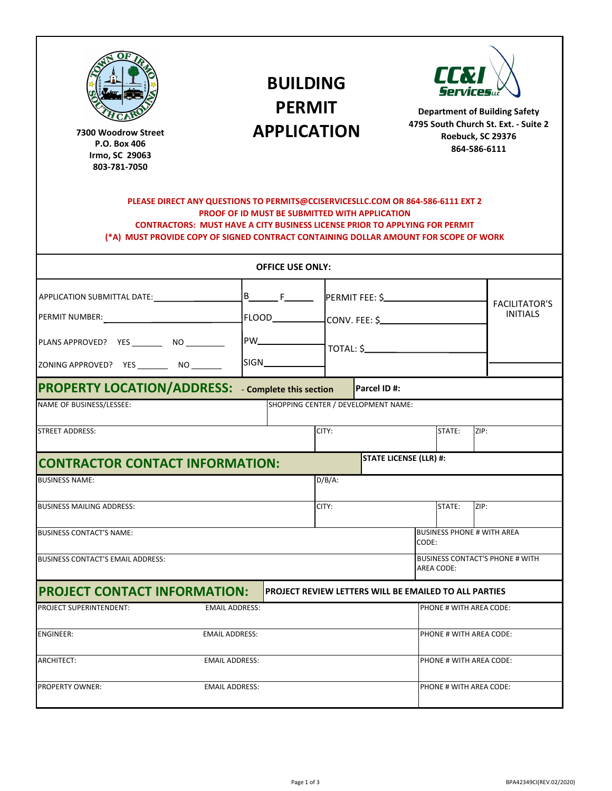| n Street<br>12 West<br>mston, SC 29697<br>W<br>864-847-7473                                                                                                                                                                                                                                                            |                         | <b>BUILDING</b><br><b>PERMIT</b><br><b>APPLICATION</b> |                                                              | LLW<br><b>Services</b><br><b>Department of Building Safety</b><br>4795 South Church St. Ext. - Suite 2<br>Roebuck, SC 29376<br>864-586-6111 |                                                      |                                         |  |  |  |
|------------------------------------------------------------------------------------------------------------------------------------------------------------------------------------------------------------------------------------------------------------------------------------------------------------------------|-------------------------|--------------------------------------------------------|--------------------------------------------------------------|---------------------------------------------------------------------------------------------------------------------------------------------|------------------------------------------------------|-----------------------------------------|--|--|--|
| PLEASE DIRECT ANY QUESTIONS TO PERMITS@CCISERVICESLLC.COM OR 864-586-6111 EXT 2<br><b>PROOF OF ID MUST BE SUBMITTED WITH APPLICATION</b><br><b>CONTRACTORS: MUST HAVE A CITY BUSINESS LICENSE PRIOR TO APPLYING FOR PERMIT</b><br>(*A) MUST PROVIDE COPY OF SIGNED CONTRACT CONTAINING DOLLAR AMOUNT FOR SCOPE OF WORK |                         |                                                        |                                                              |                                                                                                                                             |                                                      |                                         |  |  |  |
|                                                                                                                                                                                                                                                                                                                        | <b>OFFICE USE ONLY:</b> |                                                        |                                                              |                                                                                                                                             |                                                      |                                         |  |  |  |
|                                                                                                                                                                                                                                                                                                                        | $B_{\text{max}}$ F      |                                                        | <b>PERMIT FEE: \$</b>                                        |                                                                                                                                             |                                                      | <b>FACILITATOR'S</b><br><b>INITIALS</b> |  |  |  |
| ZONING APPROVED? YES __________ NO ________                                                                                                                                                                                                                                                                            | SIGN <sub>______</sub>  |                                                        |                                                              |                                                                                                                                             |                                                      |                                         |  |  |  |
| <b>PROPERTY LOCATION/ADDRESS:</b>                                                                                                                                                                                                                                                                                      | - Complete this section |                                                        | Parcel ID#:                                                  |                                                                                                                                             |                                                      |                                         |  |  |  |
| NAME OF BUSINESS/LESSEE:                                                                                                                                                                                                                                                                                               |                         |                                                        | SHOPPING CENTER / DEVELOPMENT NAME:                          |                                                                                                                                             |                                                      |                                         |  |  |  |
| <b>STREET ADDRESS:</b>                                                                                                                                                                                                                                                                                                 |                         | CITY:                                                  |                                                              |                                                                                                                                             | STATE:                                               | ZIP:                                    |  |  |  |
| <b>CONTRACTOR CONTACT INFORMATION:</b>                                                                                                                                                                                                                                                                                 |                         |                                                        | <b>STATE LICENSE (LLR) #:</b>                                |                                                                                                                                             |                                                      |                                         |  |  |  |
| <b>BUSINESS NAME:</b>                                                                                                                                                                                                                                                                                                  |                         | $D/B/A$ :                                              |                                                              |                                                                                                                                             |                                                      |                                         |  |  |  |
| <b>BUSINESS MAILING ADDRESS:</b>                                                                                                                                                                                                                                                                                       |                         | CITY:                                                  |                                                              |                                                                                                                                             | STATE:                                               | ZIP:                                    |  |  |  |
| <b>BUSINESS CONTACT'S NAME:</b>                                                                                                                                                                                                                                                                                        |                         |                                                        |                                                              | CODE:                                                                                                                                       |                                                      | <b>BUSINESS PHONE # WITH AREA</b>       |  |  |  |
| <b>BUSINESS CONTACT'S EMAIL ADDRESS:</b>                                                                                                                                                                                                                                                                               |                         |                                                        |                                                              |                                                                                                                                             | <b>BUSINESS CONTACT'S PHONE # WITH</b><br>AREA CODE: |                                         |  |  |  |
| <b>PROJECT CONTACT INFORMATION:</b>                                                                                                                                                                                                                                                                                    |                         |                                                        | <b>PROJECT REVIEW LETTERS WILL BE EMAILED TO ALL PARTIES</b> |                                                                                                                                             |                                                      |                                         |  |  |  |
| <b>PROJECT SUPERINTENDENT:</b>                                                                                                                                                                                                                                                                                         | <b>EMAIL ADDRESS:</b>   |                                                        |                                                              |                                                                                                                                             |                                                      | PHONE # WITH AREA CODE:                 |  |  |  |
| <b>ENGINEER:</b>                                                                                                                                                                                                                                                                                                       | <b>EMAIL ADDRESS:</b>   |                                                        |                                                              |                                                                                                                                             | PHONE # WITH AREA CODE:                              |                                         |  |  |  |
| <b>ARCHITECT:</b><br><b>EMAIL ADDRESS:</b>                                                                                                                                                                                                                                                                             |                         |                                                        |                                                              |                                                                                                                                             | PHONE # WITH AREA CODE:                              |                                         |  |  |  |
| <b>PROPERTY OWNER:</b>                                                                                                                                                                                                                                                                                                 | <b>EMAIL ADDRESS:</b>   |                                                        |                                                              |                                                                                                                                             |                                                      | PHONE # WITH AREA CODE:                 |  |  |  |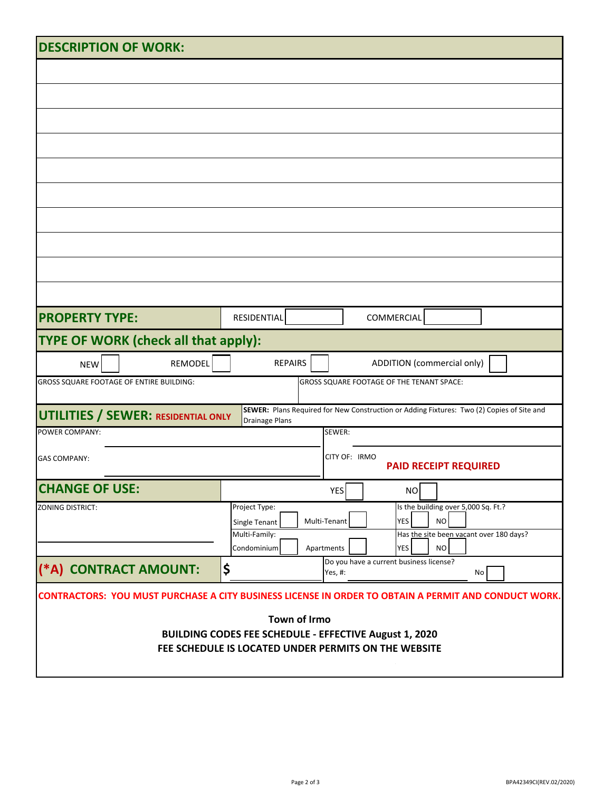| <b>DESCRIPTION OF WORK:</b>                                                                                   |                                                      |                              |              |                                                                                           |  |  |  |  |
|---------------------------------------------------------------------------------------------------------------|------------------------------------------------------|------------------------------|--------------|-------------------------------------------------------------------------------------------|--|--|--|--|
|                                                                                                               |                                                      |                              |              |                                                                                           |  |  |  |  |
|                                                                                                               |                                                      |                              |              |                                                                                           |  |  |  |  |
|                                                                                                               |                                                      |                              |              |                                                                                           |  |  |  |  |
|                                                                                                               |                                                      |                              |              |                                                                                           |  |  |  |  |
|                                                                                                               |                                                      |                              |              |                                                                                           |  |  |  |  |
|                                                                                                               |                                                      |                              |              |                                                                                           |  |  |  |  |
|                                                                                                               |                                                      |                              |              |                                                                                           |  |  |  |  |
|                                                                                                               |                                                      |                              |              |                                                                                           |  |  |  |  |
|                                                                                                               |                                                      |                              |              |                                                                                           |  |  |  |  |
|                                                                                                               |                                                      |                              |              |                                                                                           |  |  |  |  |
|                                                                                                               |                                                      |                              |              |                                                                                           |  |  |  |  |
|                                                                                                               |                                                      |                              |              |                                                                                           |  |  |  |  |
| <b>PROPERTY TYPE:</b>                                                                                         |                                                      | RESIDENTIAL                  |              | COMMERCIAL                                                                                |  |  |  |  |
| TYPE OF WORK (check all that apply):                                                                          |                                                      |                              |              |                                                                                           |  |  |  |  |
| <b>NEW</b>                                                                                                    | REMODEL                                              | <b>REPAIRS</b>               |              | <b>ADDITION (commercial only)</b>                                                         |  |  |  |  |
| GROSS SQUARE FOOTAGE OF ENTIRE BUILDING:                                                                      |                                                      |                              |              | GROSS SQUARE FOOTAGE OF THE TENANT SPACE:                                                 |  |  |  |  |
| <b>UTILITIES / SEWER: RESIDENTIAL ONLY</b>                                                                    |                                                      | Drainage Plans               |              | SEWER: Plans Required for New Construction or Adding Fixtures: Two (2) Copies of Site and |  |  |  |  |
| POWER COMPANY:                                                                                                |                                                      |                              | SEWER:       |                                                                                           |  |  |  |  |
| <b>GAS COMPANY:</b>                                                                                           | CITY OF: WILLIAMSTON<br><b>PAID RECEIPT REQUIRED</b> |                              |              |                                                                                           |  |  |  |  |
|                                                                                                               |                                                      |                              |              |                                                                                           |  |  |  |  |
| <b>CHANGE OF USE:</b><br><b>ZONING DISTRICT:</b>                                                              |                                                      | Project Type:                | <b>YES</b>   | <b>NO</b><br>Is the building over 5,000 Sq. Ft.?                                          |  |  |  |  |
|                                                                                                               |                                                      | Single Tenant                | Multi-Tenant | <b>YES</b><br>$NO$                                                                        |  |  |  |  |
|                                                                                                               |                                                      | Multi-Family:<br>Condominium | Apartments   | Has the site been vacant over 180 days?<br><b>NO</b><br><b>YES</b>                        |  |  |  |  |
|                                                                                                               |                                                      |                              |              | Do you have a current business license?                                                   |  |  |  |  |
| (*A) CONTRACT AMOUNT:                                                                                         |                                                      | \$                           | Yes, #:      | No                                                                                        |  |  |  |  |
| <b>CONTRACTORS: YOU MUST PURCHASE A CITY BUSINESS LICENSE IN ORDER TO OBTAIN A PERMIT AND CONDUCT WORK.</b>   |                                                      |                              |              |                                                                                           |  |  |  |  |
| <b>Town of Williamston</b>                                                                                    |                                                      |                              |              |                                                                                           |  |  |  |  |
| BUILDING CODES FEE SCHEDULE - EFFECTIVE March 1, 2021<br>FEE SCHEDULE IS LOCATED UNDER PERMITS ON THE WEBSITE |                                                      |                              |              |                                                                                           |  |  |  |  |
|                                                                                                               |                                                      |                              |              |                                                                                           |  |  |  |  |
|                                                                                                               |                                                      |                              |              |                                                                                           |  |  |  |  |